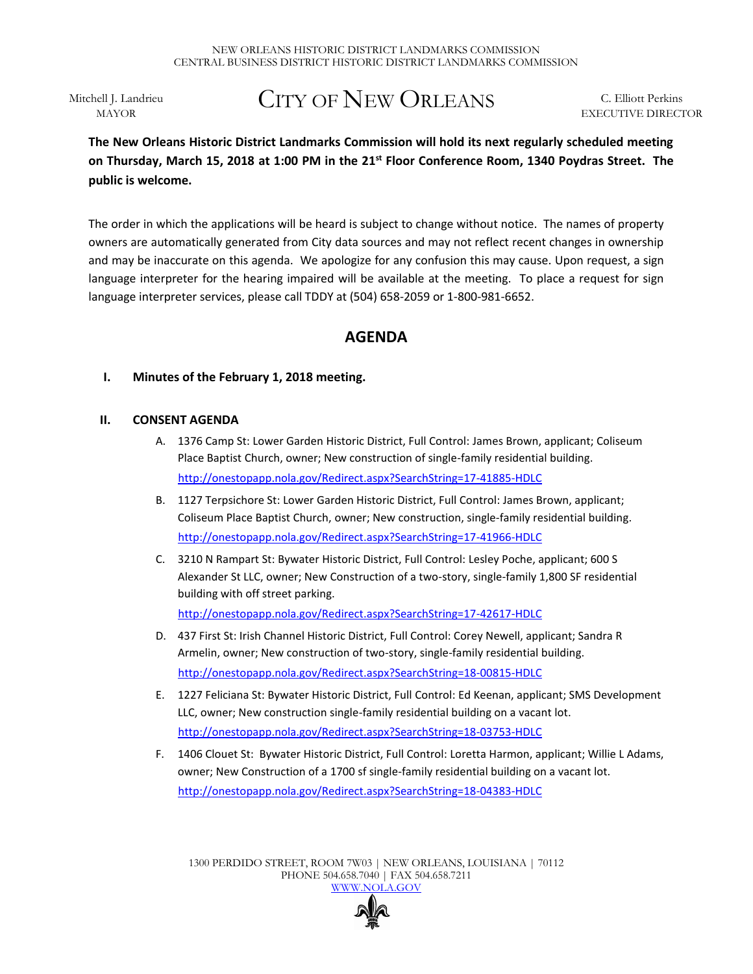Mitchell J. Landrieu MAYOR

# CITY OF NEW ORLEANS

C. Elliott Perkins EXECUTIVE DIRECTOR

## **The New Orleans Historic District Landmarks Commission will hold its next regularly scheduled meeting on Thursday, March 15, 2018 at 1:00 PM in the 21st Floor Conference Room, 1340 Poydras Street. The public is welcome.**

The order in which the applications will be heard is subject to change without notice. The names of property owners are automatically generated from City data sources and may not reflect recent changes in ownership and may be inaccurate on this agenda. We apologize for any confusion this may cause. Upon request, a sign language interpreter for the hearing impaired will be available at the meeting. To place a request for sign language interpreter services, please call TDDY at (504) 658-2059 or 1-800-981-6652.

# **AGENDA**

## **I. Minutes of the February 1, 2018 meeting.**

### **II. CONSENT AGENDA**

- A. 1376 Camp St: Lower Garden Historic District, Full Control: James Brown, applicant; Coliseum Place Baptist Church, owner; New construction of single-family residential building. <http://onestopapp.nola.gov/Redirect.aspx?SearchString=17-41885-HDLC>
- B. 1127 Terpsichore St: Lower Garden Historic District, Full Control: James Brown, applicant; Coliseum Place Baptist Church, owner; New construction, single-family residential building. <http://onestopapp.nola.gov/Redirect.aspx?SearchString=17-41966-HDLC>
- C. 3210 N Rampart St: Bywater Historic District, Full Control: Lesley Poche, applicant; 600 S Alexander St LLC, owner; New Construction of a two-story, single-family 1,800 SF residential building with off street parking. <http://onestopapp.nola.gov/Redirect.aspx?SearchString=17-42617-HDLC>

D. 437 First St: Irish Channel Historic District, Full Control: Corey Newell, applicant; Sandra R Armelin, owner; New construction of two-story, single-family residential building.

<http://onestopapp.nola.gov/Redirect.aspx?SearchString=18-00815-HDLC>

- E. 1227 Feliciana St: Bywater Historic District, Full Control: Ed Keenan, applicant; SMS Development LLC, owner; New construction single-family residential building on a vacant lot. <http://onestopapp.nola.gov/Redirect.aspx?SearchString=18-03753-HDLC>
- F. 1406 Clouet St: Bywater Historic District, Full Control: Loretta Harmon, applicant; Willie L Adams, owner; New Construction of a 1700 sf single-family residential building on a vacant lot. <http://onestopapp.nola.gov/Redirect.aspx?SearchString=18-04383-HDLC>

1300 PERDIDO STREET, ROOM 7W03 | NEW ORLEANS, LOUISIANA | 70112 PHONE 504.658.7040 | FAX 504.658.7211 [WWW.NOLA.GOV](http://www.nola.gov/)

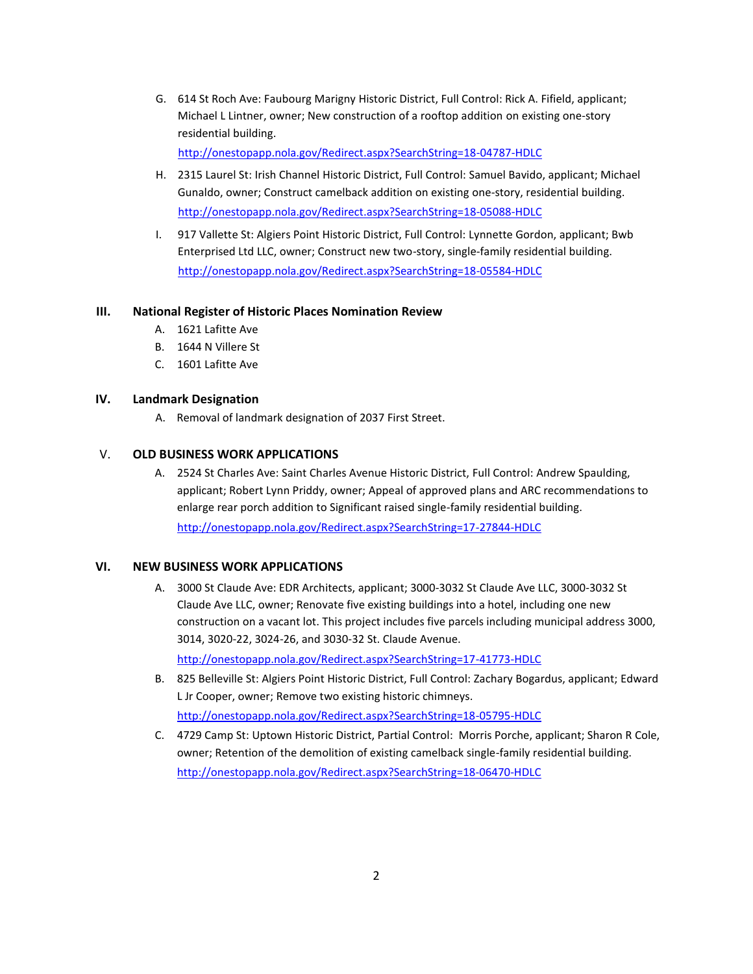G. 614 St Roch Ave: Faubourg Marigny Historic District, Full Control: Rick A. Fifield, applicant; Michael L Lintner, owner; New construction of a rooftop addition on existing one-story residential building.

<http://onestopapp.nola.gov/Redirect.aspx?SearchString=18-04787-HDLC>

- H. 2315 Laurel St: Irish Channel Historic District, Full Control: Samuel Bavido, applicant; Michael Gunaldo, owner; Construct camelback addition on existing one-story, residential building. <http://onestopapp.nola.gov/Redirect.aspx?SearchString=18-05088-HDLC>
- I. 917 Vallette St: Algiers Point Historic District, Full Control: Lynnette Gordon, applicant; Bwb Enterprised Ltd LLC, owner; Construct new two-story, single-family residential building. <http://onestopapp.nola.gov/Redirect.aspx?SearchString=18-05584-HDLC>

#### **III. National Register of Historic Places Nomination Review**

- A. 1621 Lafitte Ave
- B. 1644 N Villere St
- C. 1601 Lafitte Ave

#### **IV. Landmark Designation**

A. Removal of landmark designation of 2037 First Street.

#### V. **OLD BUSINESS WORK APPLICATIONS**

A. 2524 St Charles Ave: Saint Charles Avenue Historic District, Full Control: Andrew Spaulding, applicant; Robert Lynn Priddy, owner; Appeal of approved plans and ARC recommendations to enlarge rear porch addition to Significant raised single-family residential building. <http://onestopapp.nola.gov/Redirect.aspx?SearchString=17-27844-HDLC>

#### **VI. NEW BUSINESS WORK APPLICATIONS**

A. 3000 St Claude Ave: EDR Architects, applicant; 3000-3032 St Claude Ave LLC, 3000-3032 St Claude Ave LLC, owner; Renovate five existing buildings into a hotel, including one new construction on a vacant lot. This project includes five parcels including municipal address 3000, 3014, 3020-22, 3024-26, and 3030-32 St. Claude Avenue.

<http://onestopapp.nola.gov/Redirect.aspx?SearchString=17-41773-HDLC>

- B. 825 Belleville St: Algiers Point Historic District, Full Control: Zachary Bogardus, applicant; Edward L Jr Cooper, owner; Remove two existing historic chimneys. <http://onestopapp.nola.gov/Redirect.aspx?SearchString=18-05795-HDLC>
- C. 4729 Camp St: Uptown Historic District, Partial Control: Morris Porche, applicant; Sharon R Cole, owner; Retention of the demolition of existing camelback single-family residential building. <http://onestopapp.nola.gov/Redirect.aspx?SearchString=18-06470-HDLC>